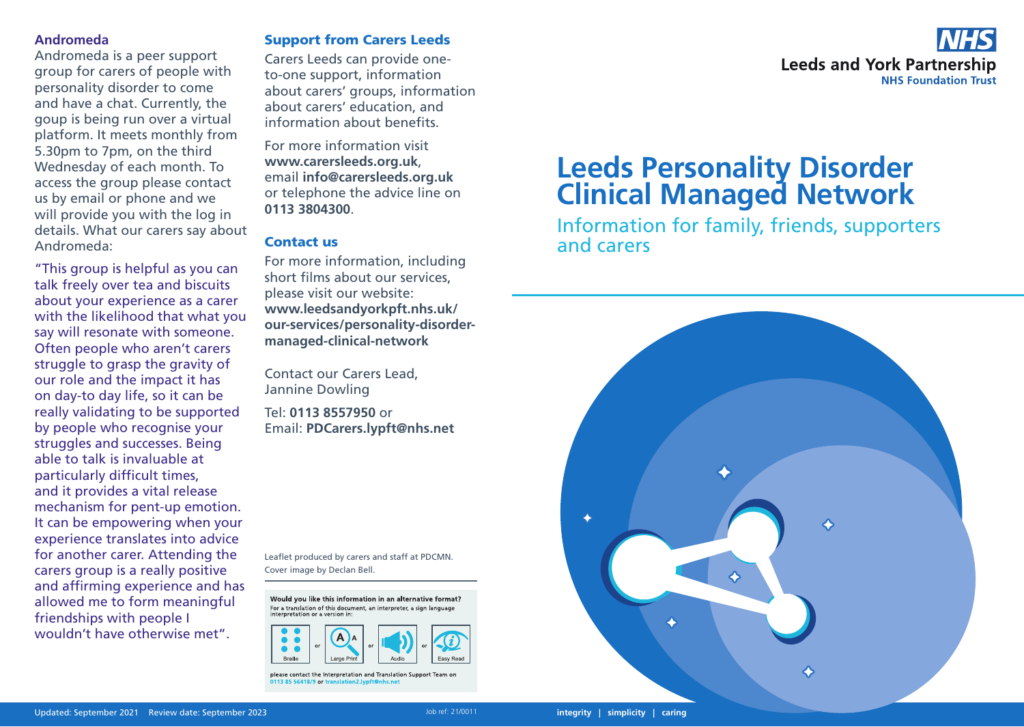#### **Andromeda**

Andromeda is a peer support group for carers of people with personality disorder to come and have a chat. Currently, the goup is being run over a virtual platform. It meets monthly from 5.30pm to 7pm, on the third Wednesday of each month. To access the group please contact us by email or phone and we will provide you with the log in details. What our carers say about Andromeda:

"This group is helpful as you can talk freely over tea and biscuits about your experience as a carer with the likelihood that what you say will resonate with someone. Often people who aren't carers struggle to grasp the gravity of our role and the impact it has on day-to day life, so it can be really validating to be supported by people who recognise your struggles and successes. Being able to talk is invaluable at particularly difficult times, and it provides a vital release mechanism for pent-up emotion. It can be empowering when your experience translates into advice for another carer. Attending the carers group is a really positive and affirming experience and has allowed me to form meaningful friendships with people I wouldn't have otherwise met".

# Support from Carers Leeds

Carers Leeds can provide oneto-one support, information about carers' groups, information about carers' education, and information about benefits.

For more information visit **www.carersleeds.org.uk**, email **info@carersleeds.org.uk** or telephone the advice line on **0113 3804300**.

# Contact us

For more information, including short films about our services, please visit our website: **www.leedsandyorkpft.nhs.uk/ our-services/personality-disordermanaged-clinical-network**

Contact our Carers Lead, Jannine Dowling

Tel: **0113 8557950** or Email: **PDCarers.lypft@nhs.net**

Leaflet produced by carers and staff at PDCMN. Cover image by Declan Bell.

Would you like this information in an alternative format? For a translation of this document, an interpreter, a sign language



please contact the Interpretation and Translation Support Team or 0113 85 56418/9 or tr



# **Leeds Personality Disorder Clinical Managed Network**

Information for family, friends, supporters and carers